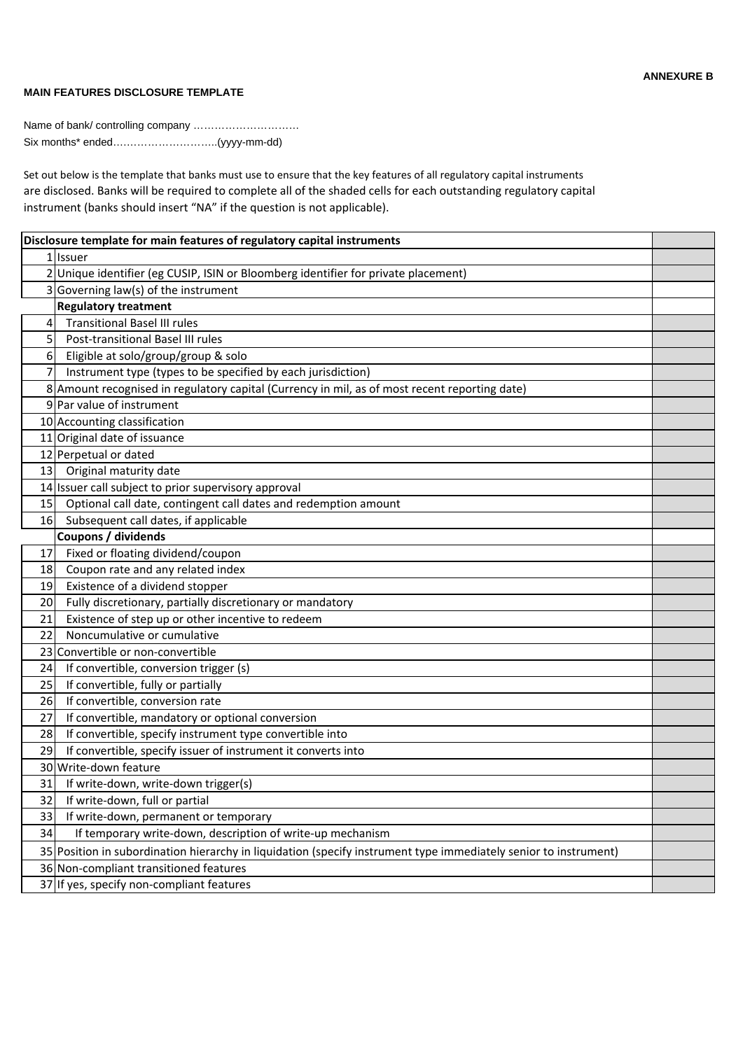## **MAIN FEATURES DISCLOSURE TEMPLATE**

**ANNEXURE B**

Name of bank/ controlling company ………………………… Six months\* ended….……………………..(yyyy-mm-dd)

Set out below is the template that banks must use to ensure that the key features of all regulatory capital instruments are disclosed. Banks will be required to complete all of the shaded cells for each outstanding regulatory capital instrument (banks should insert "NA" if the question is not applicable).

| Disclosure template for main features of regulatory capital instruments |                                                                                                                  |  |
|-------------------------------------------------------------------------|------------------------------------------------------------------------------------------------------------------|--|
|                                                                         | 1 Issuer                                                                                                         |  |
|                                                                         | 2 Unique identifier (eg CUSIP, ISIN or Bloomberg identifier for private placement)                               |  |
|                                                                         | 3 Governing law(s) of the instrument                                                                             |  |
|                                                                         | <b>Regulatory treatment</b>                                                                                      |  |
| 4                                                                       | <b>Transitional Basel III rules</b>                                                                              |  |
| 5                                                                       | Post-transitional Basel III rules                                                                                |  |
| $6 \mid$                                                                | Eligible at solo/group/group & solo                                                                              |  |
| 7                                                                       | Instrument type (types to be specified by each jurisdiction)                                                     |  |
|                                                                         | 8 Amount recognised in regulatory capital (Currency in mil, as of most recent reporting date)                    |  |
|                                                                         | 9 Par value of instrument                                                                                        |  |
|                                                                         | 10 Accounting classification                                                                                     |  |
|                                                                         | 11 Original date of issuance                                                                                     |  |
|                                                                         | 12 Perpetual or dated                                                                                            |  |
| 13                                                                      | Original maturity date                                                                                           |  |
|                                                                         | 14 Issuer call subject to prior supervisory approval                                                             |  |
| 15                                                                      | Optional call date, contingent call dates and redemption amount                                                  |  |
| 16                                                                      | Subsequent call dates, if applicable                                                                             |  |
|                                                                         | Coupons / dividends                                                                                              |  |
| 17                                                                      | Fixed or floating dividend/coupon                                                                                |  |
| 18                                                                      | Coupon rate and any related index                                                                                |  |
| 19                                                                      | Existence of a dividend stopper                                                                                  |  |
| 20                                                                      | Fully discretionary, partially discretionary or mandatory                                                        |  |
| 21                                                                      | Existence of step up or other incentive to redeem                                                                |  |
| 22                                                                      | Noncumulative or cumulative                                                                                      |  |
| 23                                                                      | Convertible or non-convertible                                                                                   |  |
| 24                                                                      | If convertible, conversion trigger (s)                                                                           |  |
| 25                                                                      | If convertible, fully or partially                                                                               |  |
| 26                                                                      | If convertible, conversion rate                                                                                  |  |
| 27                                                                      | If convertible, mandatory or optional conversion                                                                 |  |
| 28                                                                      | If convertible, specify instrument type convertible into                                                         |  |
| 29                                                                      | If convertible, specify issuer of instrument it converts into                                                    |  |
|                                                                         | 30 Write-down feature                                                                                            |  |
| 31                                                                      | If write-down, write-down trigger(s)                                                                             |  |
| 32                                                                      | If write-down, full or partial                                                                                   |  |
| 33                                                                      | If write-down, permanent or temporary                                                                            |  |
| 34                                                                      | If temporary write-down, description of write-up mechanism                                                       |  |
|                                                                         | 35 Position in subordination hierarchy in liquidation (specify instrument type immediately senior to instrument) |  |
|                                                                         | 36 Non-compliant transitioned features                                                                           |  |
|                                                                         | 37 If yes, specify non-compliant features                                                                        |  |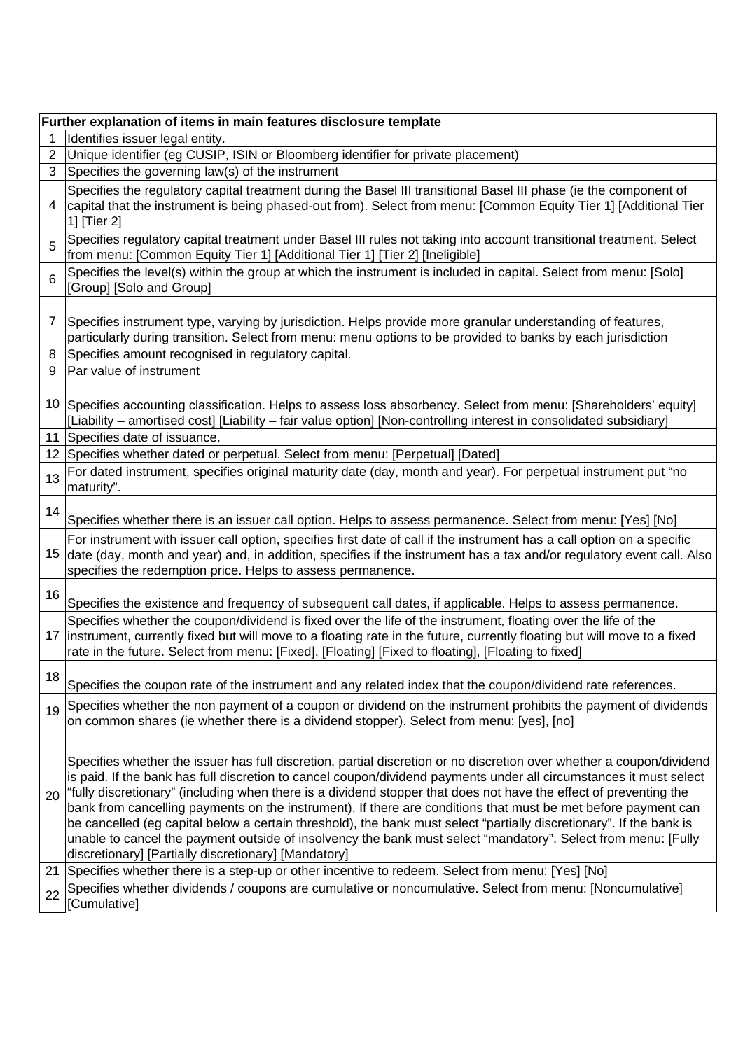|    | Further explanation of items in main features disclosure template                                                                                                                                                                                                                                                                                                                                                                                                                                                                                                                                                                                                                                                                                                                |  |  |  |
|----|----------------------------------------------------------------------------------------------------------------------------------------------------------------------------------------------------------------------------------------------------------------------------------------------------------------------------------------------------------------------------------------------------------------------------------------------------------------------------------------------------------------------------------------------------------------------------------------------------------------------------------------------------------------------------------------------------------------------------------------------------------------------------------|--|--|--|
| 1  | Identifies issuer legal entity.                                                                                                                                                                                                                                                                                                                                                                                                                                                                                                                                                                                                                                                                                                                                                  |  |  |  |
| 2  | Unique identifier (eg CUSIP, ISIN or Bloomberg identifier for private placement)                                                                                                                                                                                                                                                                                                                                                                                                                                                                                                                                                                                                                                                                                                 |  |  |  |
| 3  | Specifies the governing law(s) of the instrument                                                                                                                                                                                                                                                                                                                                                                                                                                                                                                                                                                                                                                                                                                                                 |  |  |  |
| 4  | Specifies the regulatory capital treatment during the Basel III transitional Basel III phase (ie the component of<br>capital that the instrument is being phased-out from). Select from menu: [Common Equity Tier 1] [Additional Tier<br>1] [Tier 2]                                                                                                                                                                                                                                                                                                                                                                                                                                                                                                                             |  |  |  |
| 5  | Specifies regulatory capital treatment under Basel III rules not taking into account transitional treatment. Select<br>from menu: [Common Equity Tier 1] [Additional Tier 1] [Tier 2] [Ineligible]                                                                                                                                                                                                                                                                                                                                                                                                                                                                                                                                                                               |  |  |  |
| 6  | Specifies the level(s) within the group at which the instrument is included in capital. Select from menu: [Solo]<br>[Group] [Solo and Group]                                                                                                                                                                                                                                                                                                                                                                                                                                                                                                                                                                                                                                     |  |  |  |
| 7  | Specifies instrument type, varying by jurisdiction. Helps provide more granular understanding of features,<br>particularly during transition. Select from menu: menu options to be provided to banks by each jurisdiction                                                                                                                                                                                                                                                                                                                                                                                                                                                                                                                                                        |  |  |  |
| 8  | Specifies amount recognised in regulatory capital.                                                                                                                                                                                                                                                                                                                                                                                                                                                                                                                                                                                                                                                                                                                               |  |  |  |
| 9  | Par value of instrument                                                                                                                                                                                                                                                                                                                                                                                                                                                                                                                                                                                                                                                                                                                                                          |  |  |  |
| 10 | Specifies accounting classification. Helps to assess loss absorbency. Select from menu: [Shareholders' equity]<br>[Liability – amortised cost] [Liability – fair value option] [Non-controlling interest in consolidated subsidiary]                                                                                                                                                                                                                                                                                                                                                                                                                                                                                                                                             |  |  |  |
| 11 | Specifies date of issuance.                                                                                                                                                                                                                                                                                                                                                                                                                                                                                                                                                                                                                                                                                                                                                      |  |  |  |
|    | 12 Specifies whether dated or perpetual. Select from menu: [Perpetual] [Dated]                                                                                                                                                                                                                                                                                                                                                                                                                                                                                                                                                                                                                                                                                                   |  |  |  |
| 13 | For dated instrument, specifies original maturity date (day, month and year). For perpetual instrument put "no<br>maturity".                                                                                                                                                                                                                                                                                                                                                                                                                                                                                                                                                                                                                                                     |  |  |  |
| 14 | Specifies whether there is an issuer call option. Helps to assess permanence. Select from menu: [Yes] [No]                                                                                                                                                                                                                                                                                                                                                                                                                                                                                                                                                                                                                                                                       |  |  |  |
| 15 | For instrument with issuer call option, specifies first date of call if the instrument has a call option on a specific<br>date (day, month and year) and, in addition, specifies if the instrument has a tax and/or regulatory event call. Also<br>specifies the redemption price. Helps to assess permanence.                                                                                                                                                                                                                                                                                                                                                                                                                                                                   |  |  |  |
| 16 | Specifies the existence and frequency of subsequent call dates, if applicable. Helps to assess permanence.                                                                                                                                                                                                                                                                                                                                                                                                                                                                                                                                                                                                                                                                       |  |  |  |
|    | Specifies whether the coupon/dividend is fixed over the life of the instrument, floating over the life of the<br>17 instrument, currently fixed but will move to a floating rate in the future, currently floating but will move to a fixed<br>rate in the future. Select from menu: [Fixed], [Floating] [Fixed to floating], [Floating to fixed]                                                                                                                                                                                                                                                                                                                                                                                                                                |  |  |  |
| 18 | Specifies the coupon rate of the instrument and any related index that the coupon/dividend rate references.                                                                                                                                                                                                                                                                                                                                                                                                                                                                                                                                                                                                                                                                      |  |  |  |
| 19 | Specifies whether the non payment of a coupon or dividend on the instrument prohibits the payment of dividends<br>on common shares (ie whether there is a dividend stopper). Select from menu: [yes], [no]                                                                                                                                                                                                                                                                                                                                                                                                                                                                                                                                                                       |  |  |  |
| 20 | Specifies whether the issuer has full discretion, partial discretion or no discretion over whether a coupon/dividend<br>is paid. If the bank has full discretion to cancel coupon/dividend payments under all circumstances it must select<br>"fully discretionary" (including when there is a dividend stopper that does not have the effect of preventing the<br>bank from cancelling payments on the instrument). If there are conditions that must be met before payment can<br>be cancelled (eg capital below a certain threshold), the bank must select "partially discretionary". If the bank is<br>unable to cancel the payment outside of insolvency the bank must select "mandatory". Select from menu: [Fully<br>discretionary] [Partially discretionary] [Mandatory] |  |  |  |
| 21 | Specifies whether there is a step-up or other incentive to redeem. Select from menu: [Yes] [No]                                                                                                                                                                                                                                                                                                                                                                                                                                                                                                                                                                                                                                                                                  |  |  |  |
| 22 | Specifies whether dividends / coupons are cumulative or noncumulative. Select from menu: [Noncumulative]<br>[Cumulative]                                                                                                                                                                                                                                                                                                                                                                                                                                                                                                                                                                                                                                                         |  |  |  |